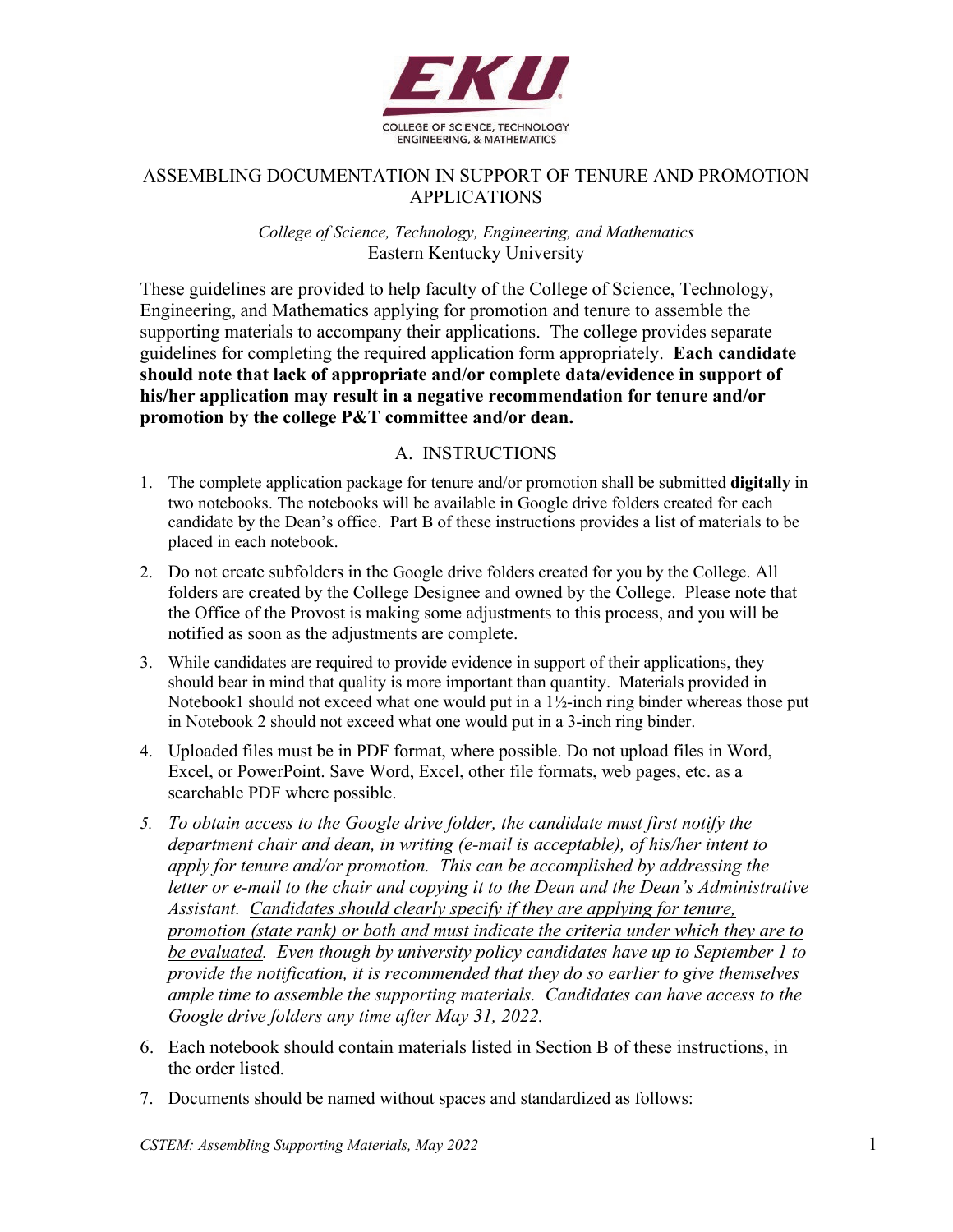

## ASSEMBLING DOCUMENTATION IN SUPPORT OF TENURE AND PROMOTION APPLICATIONS

#### *College of Science, Technology, Engineering, and Mathematics* Eastern Kentucky University

These guidelines are provided to help faculty of the College of Science, Technology, Engineering, and Mathematics applying for promotion and tenure to assemble the supporting materials to accompany their applications. The college provides separate guidelines for completing the required application form appropriately. **Each candidate should note that lack of appropriate and/or complete data/evidence in support of his/her application may result in a negative recommendation for tenure and/or promotion by the college P&T committee and/or dean.**

## A. INSTRUCTIONS

- 1. The complete application package for tenure and/or promotion shall be submitted **digitally** in two notebooks. The notebooks will be available in Google drive folders created for each candidate by the Dean's office. Part B of these instructions provides a list of materials to be placed in each notebook.
- 2. Do not create subfolders in the Google drive folders created for you by the College. All folders are created by the College Designee and owned by the College. Please note that the Office of the Provost is making some adjustments to this process, and you will be notified as soon as the adjustments are complete.
- 3. While candidates are required to provide evidence in support of their applications, they should bear in mind that quality is more important than quantity. Materials provided in Notebook1 should not exceed what one would put in a 1½-inch ring binder whereas those put in Notebook 2 should not exceed what one would put in a 3-inch ring binder.
- 4. Uploaded files must be in PDF format, where possible. Do not upload files in Word, Excel, or PowerPoint. Save Word, Excel, other file formats, web pages, etc. as a searchable PDF where possible.
- *5. To obtain access to the Google drive folder, the candidate must first notify the department chair and dean, in writing (e-mail is acceptable), of his/her intent to apply for tenure and/or promotion. This can be accomplished by addressing the letter or e-mail to the chair and copying it to the Dean and the Dean's Administrative Assistant. Candidates should clearly specify if they are applying for tenure, promotion (state rank) or both and must indicate the criteria under which they are to be evaluated. Even though by university policy candidates have up to September 1 to provide the notification, it is recommended that they do so earlier to give themselves ample time to assemble the supporting materials. Candidates can have access to the Google drive folders any time after May 31, 2022.*
- 6. Each notebook should contain materials listed in Section B of these instructions, in the order listed.
- 7. Documents should be named without spaces and standardized as follows: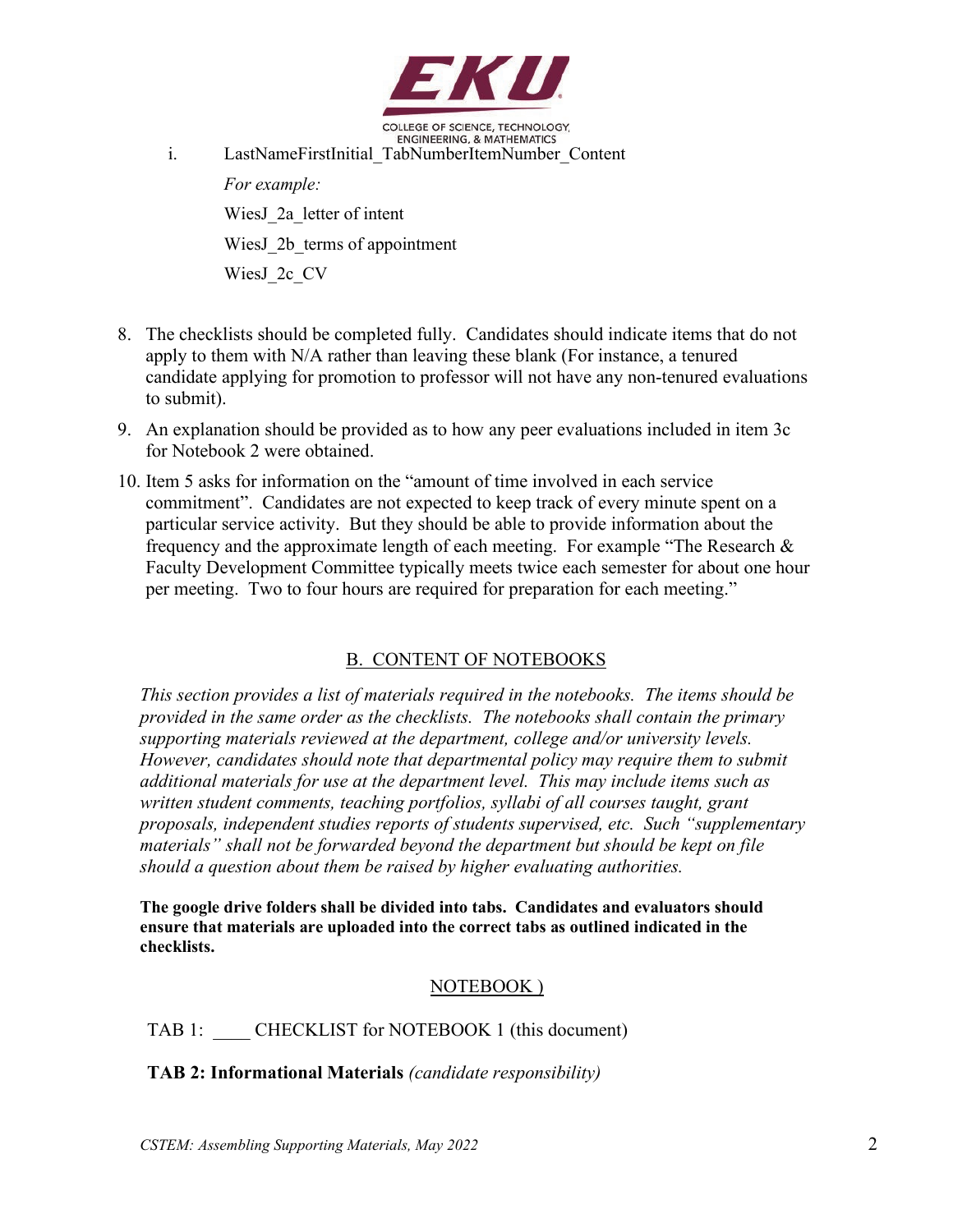

COLLEGE OF SCIENCE, TECHNOLOGY. **ENGINEERING, & MATHEMATICS** 

i. LastNameFirstInitial TabNumberItemNumber Content *For example:* WiesJ\_2a\_letter of intent WiesJ\_2b\_terms of appointment WiesJ\_2c\_CV

- 8. The checklists should be completed fully. Candidates should indicate items that do not apply to them with N/A rather than leaving these blank (For instance, a tenured candidate applying for promotion to professor will not have any non-tenured evaluations to submit).
- 9. An explanation should be provided as to how any peer evaluations included in item 3c for Notebook 2 were obtained.
- 10. Item 5 asks for information on the "amount of time involved in each service commitment". Candidates are not expected to keep track of every minute spent on a particular service activity. But they should be able to provide information about the frequency and the approximate length of each meeting. For example "The Research & Faculty Development Committee typically meets twice each semester for about one hour per meeting. Two to four hours are required for preparation for each meeting."

# B. CONTENT OF NOTEBOOKS

*This section provides a list of materials required in the notebooks. The items should be provided in the same order as the checklists. The notebooks shall contain the primary supporting materials reviewed at the department, college and/or university levels. However, candidates should note that departmental policy may require them to submit additional materials for use at the department level. This may include items such as*  written student comments, teaching portfolios, syllabi of all courses taught, grant *proposals, independent studies reports of students supervised, etc. Such "supplementary materials" shall not be forwarded beyond the department but should be kept on file should a question about them be raised by higher evaluating authorities.* 

**The google drive folders shall be divided into tabs. Candidates and evaluators should ensure that materials are uploaded into the correct tabs as outlined indicated in the checklists.**

#### NOTEBOOK )

TAB 1: CHECKLIST for NOTEBOOK 1 (this document)

**TAB 2: Informational Materials** *(candidate responsibility)*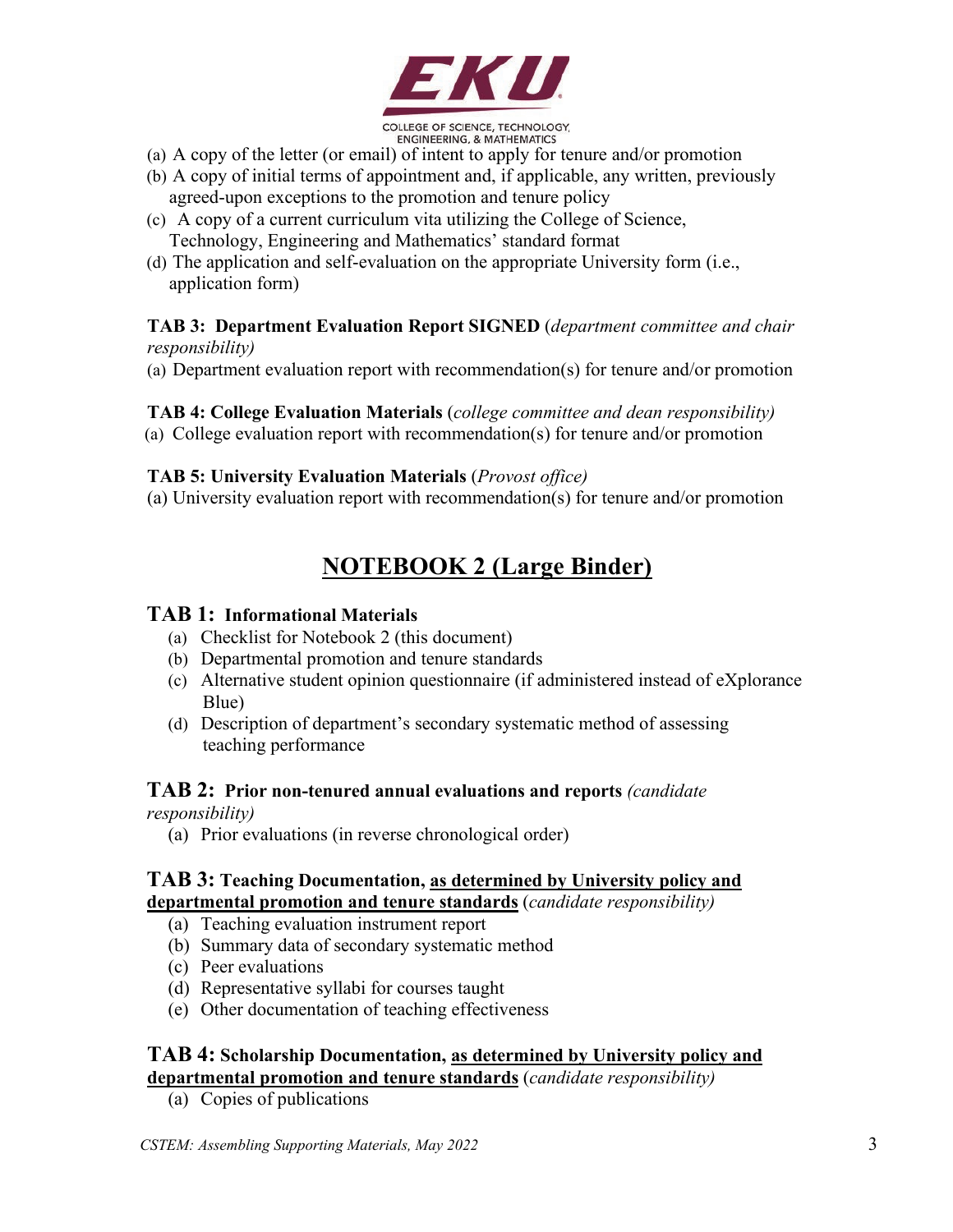

- (a) A copy of the letter (or email) of intent to apply for tenure and/or promotion
- (b) A copy of initial terms of appointment and, if applicable, any written, previously agreed-upon exceptions to the promotion and tenure policy
- (c) A copy of a current curriculum vita utilizing the College of Science, Technology, Engineering and Mathematics' standard format
- (d) The application and self-evaluation on the appropriate University form (i.e., application form)

#### **TAB 3: Department Evaluation Report SIGNED** (*department committee and chair responsibility)*

(a) Department evaluation report with recommendation(s) for tenure and/or promotion

## **TAB 4: College Evaluation Materials** (*college committee and dean responsibility)*

(a) College evaluation report with recommendation(s) for tenure and/or promotion

## **TAB 5: University Evaluation Materials** (*Provost office)*

(a) University evaluation report with recommendation(s) for tenure and/or promotion

# **NOTEBOOK 2 (Large Binder)**

#### **TAB 1: Informational Materials**

- (a) Checklist for Notebook 2 (this document)
- (b) Departmental promotion and tenure standards
- (c) Alternative student opinion questionnaire (if administered instead of eXplorance Blue)
- (d) Description of department's secondary systematic method of assessing teaching performance

## **TAB 2: Prior non-tenured annual evaluations and reports** *(candidate*

*responsibility)*

(a) Prior evaluations (in reverse chronological order)

## **TAB 3: Teaching Documentation, as determined by University policy and departmental promotion and tenure standards** (*candidate responsibility)*

- (a) Teaching evaluation instrument report
- (b) Summary data of secondary systematic method
- (c) Peer evaluations
- (d) Representative syllabi for courses taught
- (e) Other documentation of teaching effectiveness

## **TAB 4: Scholarship Documentation, as determined by University policy and departmental promotion and tenure standards** (*candidate responsibility)*

(a) Copies of publications